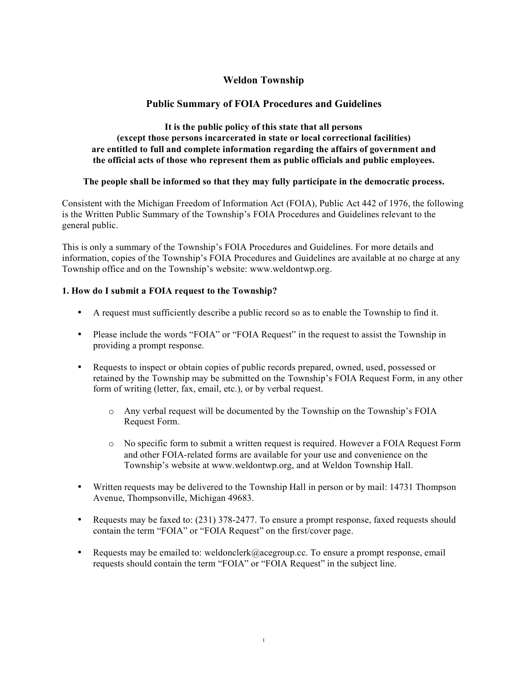# **Weldon Township**

## **Public Summary of FOIA Procedures and Guidelines**

### **It is the public policy of this state that all persons (except those persons incarcerated in state or local correctional facilities) are entitled to full and complete information regarding the affairs of government and the official acts of those who represent them as public officials and public employees.**

## **The people shall be informed so that they may fully participate in the democratic process.**

Consistent with the Michigan Freedom of Information Act (FOIA), Public Act 442 of 1976, the following is the Written Public Summary of the Township's FOIA Procedures and Guidelines relevant to the general public.

This is only a summary of the Township's FOIA Procedures and Guidelines. For more details and information, copies of the Township's FOIA Procedures and Guidelines are available at no charge at any Township office and on the Township's website: www.weldontwp.org.

### **1. How do I submit a FOIA request to the Township?**

- A request must sufficiently describe a public record so as to enable the Township to find it.
- Please include the words "FOIA" or "FOIA Request" in the request to assist the Township in providing a prompt response.
- Requests to inspect or obtain copies of public records prepared, owned, used, possessed or retained by the Township may be submitted on the Township's FOIA Request Form, in any other form of writing (letter, fax, email, etc.), or by verbal request.
	- o Any verbal request will be documented by the Township on the Township's FOIA Request Form.
	- o No specific form to submit a written request is required. However a FOIA Request Form and other FOIA-related forms are available for your use and convenience on the Township's website at www.weldontwp.org, and at Weldon Township Hall.
- Written requests may be delivered to the Township Hall in person or by mail: 14731 Thompson Avenue, Thompsonville, Michigan 49683.
- Requests may be faxed to: (231) 378-2477. To ensure a prompt response, faxed requests should contain the term "FOIA" or "FOIA Request" on the first/cover page.
- Requests may be emailed to: weldonclerk@acegroup.cc. To ensure a prompt response, email requests should contain the term "FOIA" or "FOIA Request" in the subject line.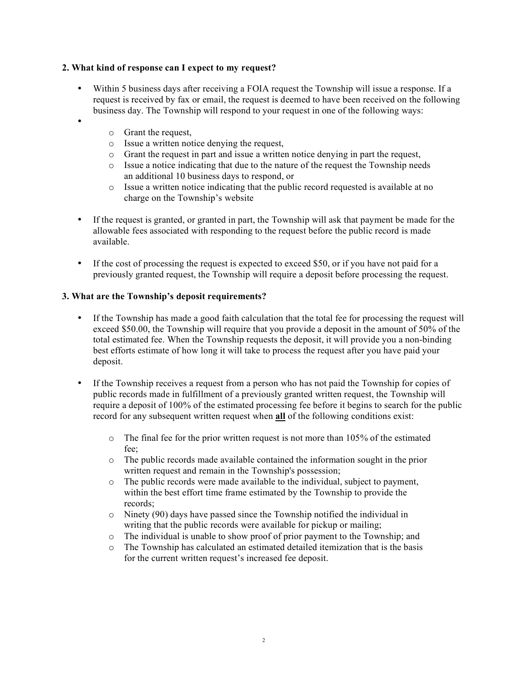## **2. What kind of response can I expect to my request?**

- Within 5 business days after receiving a FOIA request the Township will issue a response. If a request is received by fax or email, the request is deemed to have been received on the following business day. The Township will respond to your request in one of the following ways:
- •
- o Grant the request,
- o Issue a written notice denying the request,
- o Grant the request in part and issue a written notice denying in part the request,
- o Issue a notice indicating that due to the nature of the request the Township needs an additional 10 business days to respond, or
- o Issue a written notice indicating that the public record requested is available at no charge on the Township's website
- If the request is granted, or granted in part, the Township will ask that payment be made for the allowable fees associated with responding to the request before the public record is made available.
- If the cost of processing the request is expected to exceed \$50, or if you have not paid for a previously granted request, the Township will require a deposit before processing the request.

## **3. What are the Township's deposit requirements?**

- If the Township has made a good faith calculation that the total fee for processing the request will exceed \$50.00, the Township will require that you provide a deposit in the amount of 50% of the total estimated fee. When the Township requests the deposit, it will provide you a non-binding best efforts estimate of how long it will take to process the request after you have paid your deposit.
- If the Township receives a request from a person who has not paid the Township for copies of public records made in fulfillment of a previously granted written request, the Township will require a deposit of 100% of the estimated processing fee before it begins to search for the public record for any subsequent written request when **all** of the following conditions exist:
	- o The final fee for the prior written request is not more than 105% of the estimated fee;
	- o The public records made available contained the information sought in the prior written request and remain in the Township's possession;
	- o The public records were made available to the individual, subject to payment, within the best effort time frame estimated by the Township to provide the records;
	- o Ninety (90) days have passed since the Township notified the individual in writing that the public records were available for pickup or mailing;
	- o The individual is unable to show proof of prior payment to the Township; and
	- o The Township has calculated an estimated detailed itemization that is the basis for the current written request's increased fee deposit.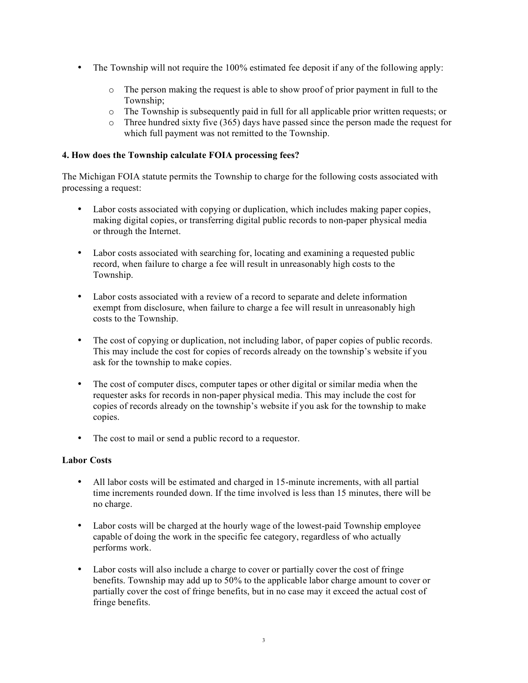- The Township will not require the 100% estimated fee deposit if any of the following apply:
	- o The person making the request is able to show proof of prior payment in full to the Township;
	- o The Township is subsequently paid in full for all applicable prior written requests; or
	- $\circ$  Three hundred sixty five (365) days have passed since the person made the request for which full payment was not remitted to the Township.

### **4. How does the Township calculate FOIA processing fees?**

The Michigan FOIA statute permits the Township to charge for the following costs associated with processing a request:

- Labor costs associated with copying or duplication, which includes making paper copies, making digital copies, or transferring digital public records to non-paper physical media or through the Internet.
- Labor costs associated with searching for, locating and examining a requested public record, when failure to charge a fee will result in unreasonably high costs to the Township.
- Labor costs associated with a review of a record to separate and delete information exempt from disclosure, when failure to charge a fee will result in unreasonably high costs to the Township.
- The cost of copying or duplication, not including labor, of paper copies of public records. This may include the cost for copies of records already on the township's website if you ask for the township to make copies.
- The cost of computer discs, computer tapes or other digital or similar media when the requester asks for records in non-paper physical media. This may include the cost for copies of records already on the township's website if you ask for the township to make copies.
- The cost to mail or send a public record to a requestor.

### **Labor Costs**

- All labor costs will be estimated and charged in 15-minute increments, with all partial time increments rounded down. If the time involved is less than 15 minutes, there will be no charge.
- Labor costs will be charged at the hourly wage of the lowest-paid Township employee capable of doing the work in the specific fee category, regardless of who actually performs work.
- Labor costs will also include a charge to cover or partially cover the cost of fringe benefits. Township may add up to 50% to the applicable labor charge amount to cover or partially cover the cost of fringe benefits, but in no case may it exceed the actual cost of fringe benefits.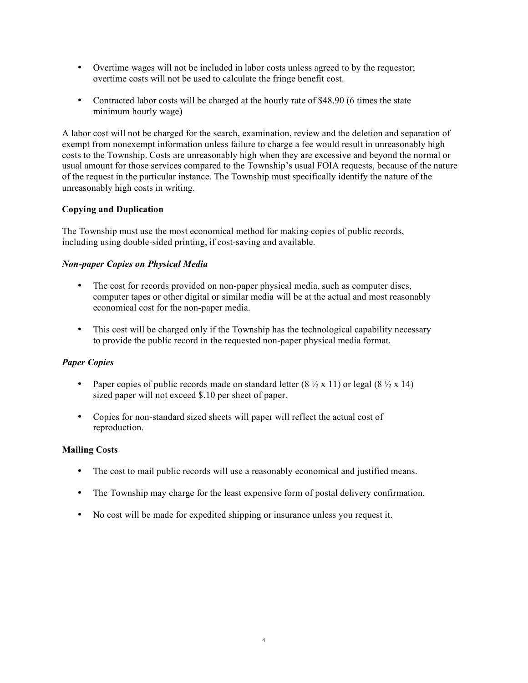- Overtime wages will not be included in labor costs unless agreed to by the requestor; overtime costs will not be used to calculate the fringe benefit cost.
- Contracted labor costs will be charged at the hourly rate of \$48.90 (6 times the state minimum hourly wage)

A labor cost will not be charged for the search, examination, review and the deletion and separation of exempt from nonexempt information unless failure to charge a fee would result in unreasonably high costs to the Township. Costs are unreasonably high when they are excessive and beyond the normal or usual amount for those services compared to the Township's usual FOIA requests, because of the nature of the request in the particular instance. The Township must specifically identify the nature of the unreasonably high costs in writing.

## **Copying and Duplication**

The Township must use the most economical method for making copies of public records, including using double-sided printing, if cost-saving and available.

## *Non-paper Copies on Physical Media*

- The cost for records provided on non-paper physical media, such as computer discs, computer tapes or other digital or similar media will be at the actual and most reasonably economical cost for the non-paper media.
- This cost will be charged only if the Township has the technological capability necessary to provide the public record in the requested non-paper physical media format.

## *Paper Copies*

- Paper copies of public records made on standard letter  $(8 \frac{1}{2} \times 11)$  or legal  $(8 \frac{1}{2} \times 14)$ sized paper will not exceed \$.10 per sheet of paper.
- Copies for non-standard sized sheets will paper will reflect the actual cost of reproduction.

### **Mailing Costs**

- The cost to mail public records will use a reasonably economical and justified means.
- The Township may charge for the least expensive form of postal delivery confirmation.
- No cost will be made for expedited shipping or insurance unless you request it.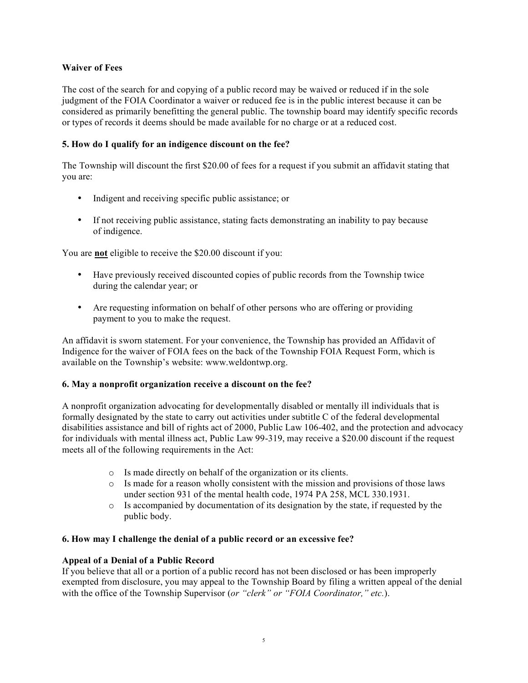## **Waiver of Fees**

The cost of the search for and copying of a public record may be waived or reduced if in the sole judgment of the FOIA Coordinator a waiver or reduced fee is in the public interest because it can be considered as primarily benefitting the general public. The township board may identify specific records or types of records it deems should be made available for no charge or at a reduced cost.

## **5. How do I qualify for an indigence discount on the fee?**

The Township will discount the first \$20.00 of fees for a request if you submit an affidavit stating that you are:

- Indigent and receiving specific public assistance; or
- If not receiving public assistance, stating facts demonstrating an inability to pay because of indigence.

You are **not** eligible to receive the \$20.00 discount if you:

- Have previously received discounted copies of public records from the Township twice during the calendar year; or
- Are requesting information on behalf of other persons who are offering or providing payment to you to make the request.

An affidavit is sworn statement. For your convenience, the Township has provided an Affidavit of Indigence for the waiver of FOIA fees on the back of the Township FOIA Request Form, which is available on the Township's website: www.weldontwp.org.

### **6. May a nonprofit organization receive a discount on the fee?**

A nonprofit organization advocating for developmentally disabled or mentally ill individuals that is formally designated by the state to carry out activities under subtitle C of the federal developmental disabilities assistance and bill of rights act of 2000, Public Law 106-402, and the protection and advocacy for individuals with mental illness act, Public Law 99-319, may receive a \$20.00 discount if the request meets all of the following requirements in the Act:

- o Is made directly on behalf of the organization or its clients.
- $\circ$  Is made for a reason wholly consistent with the mission and provisions of those laws under section 931 of the mental health code, 1974 PA 258, MCL 330.1931.
- o Is accompanied by documentation of its designation by the state, if requested by the public body.

### **6. How may I challenge the denial of a public record or an excessive fee?**

### **Appeal of a Denial of a Public Record**

If you believe that all or a portion of a public record has not been disclosed or has been improperly exempted from disclosure, you may appeal to the Township Board by filing a written appeal of the denial with the office of the Township Supervisor (*or "clerk" or "FOIA Coordinator," etc.*).